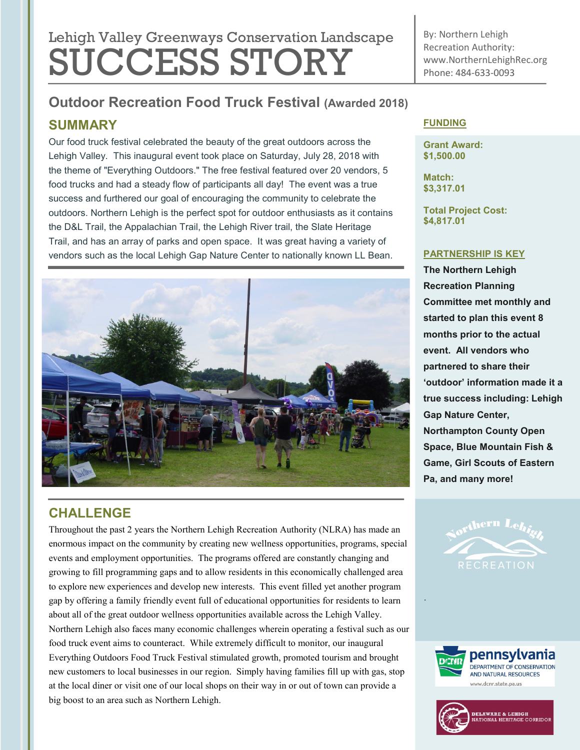# Lehigh Valley Greenways Conservation Landscape SUCCESS STORY

By: Northern Lehigh Recreation Authority: www.NorthernLehighRec.org Phone: 484-633-0093

# **Outdoor Recreation Food Truck Festival (Awarded 2018)**

## **SUMMARY**

Our food truck festival celebrated the beauty of the great outdoors across the Lehigh Valley. This inaugural event took place on Saturday, July 28, 2018 with the theme of "Everything Outdoors." The free festival featured over 20 vendors, 5 food trucks and had a steady flow of participants all day! The event was a true success and furthered our goal of encouraging the community to celebrate the outdoors. Northern Lehigh is the perfect spot for outdoor enthusiasts as it contains the D&L Trail, the Appalachian Trail, the Lehigh River trail, the Slate Heritage Trail, and has an array of parks and open space. It was great having a variety of vendors such as the local Lehigh Gap Nature Center to nationally known LL Bean.



## **CHALLENGE**

Throughout the past 2 years the Northern Lehigh Recreation Authority (NLRA) has made an enormous impact on the community by creating new wellness opportunities, programs, special events and employment opportunities. The programs offered are constantly changing and growing to fill programming gaps and to allow residents in this economically challenged area to explore new experiences and develop new interests. This event filled yet another program gap by offering a family friendly event full of educational opportunities for residents to learn about all of the great outdoor wellness opportunities available across the Lehigh Valley. Northern Lehigh also faces many economic challenges wherein operating a festival such as our food truck event aims to counteract. While extremely difficult to monitor, our inaugural Everything Outdoors Food Truck Festival stimulated growth, promoted tourism and brought new customers to local businesses in our region. Simply having families fill up with gas, stop at the local diner or visit one of our local shops on their way in or out of town can provide a big boost to an area such as Northern Lehigh.

#### **FUNDING**

**Grant Award: \$1,500.00**

**Match: \$3,317.01**

**Total Project Cost: \$4,817.01**

#### **PARTNERSHIP IS KEY**

**The Northern Lehigh Recreation Planning Committee met monthly and started to plan this event 8 months prior to the actual event. All vendors who partnered to share their 'outdoor' information made it a true success including: Lehigh Gap Nature Center, Northampton County Open Space, Blue Mountain Fish & Game, Girl Scouts of Eastern Pa, and many more!**



.